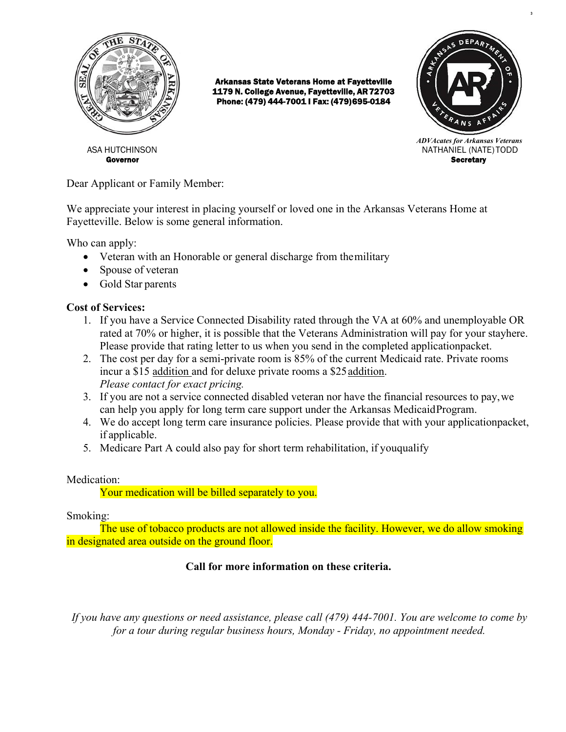

Arkansas State Veterans Home at Fayetteville 1179 N. College Avenue, Fayetteville, AR 72703 Phone: (479) 444-7001 I Fax: (479) 695-0184



**3**

*ADVAcates for Arkansas Veterans*  ASA HUTCHINSON NATHANIEL (NATE) TODD **Governor** Secretary **Secretary** 

Dear Applicant or Family Member:

We appreciate your interest in placing yourself or loved one in the Arkansas Veterans Home at Fayetteville. Below is some general information.

Who can apply:

- Veteran with an Honorable or general discharge from the military
- Spouse of veteran
- Gold Star parents

## **Cost of Services:**

- 1. If you have a Service Connected Disability rated through the VA at 60% and unemployable OR rated at 70% or higher, it is possible that the Veterans Administration will pay for your stayhere. Please provide that rating letter to us when you send in the completed applicationpacket.
- 2. The cost per day for a semi-private room is 85% of the current Medicaid rate. Private rooms incur a \$15 addition and for deluxe private rooms a \$25 addition. *Please contact for exact pricing.*
- 3. If you are not a service connected disabled veteran nor have the financial resources to pay, we can help you apply for long term care support under the Arkansas Medicaid Program.
- 4. We do accept long term care insurance policies. Please provide that with your applicationpacket, if applicable.
- 5. Medicare Part A could also pay for short term rehabilitation, if youqualify

Medication:

Your medication will be billed separately to you.

Smoking:

The use of tobacco products are not allowed inside the facility. However, we do allow smoking in designated area outside on the ground floor.

# **Call for more information on these criteria.**

*If you have any questions or need assistance, please call (479) 444-7001. You are welcome to come by for a tour during regular business hours, Monday - Friday, no appointment needed.*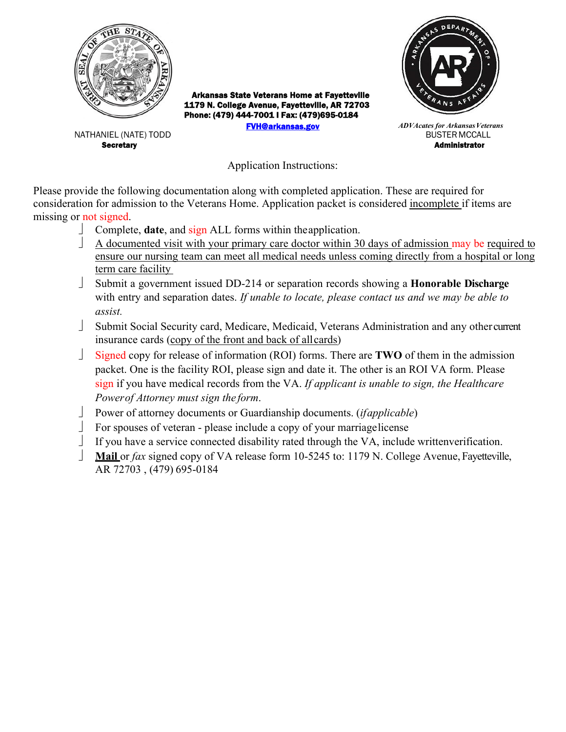

Application Instructions:

Please provide the following documentation along with completed application. These are required for consideration for admission to the Veterans Home. Application packet is considered incomplete if items are missing or not signed.

- Complete, **date**, and sign ALL forms within the application.
- A documented visit with your primary care doctor within 30 days of admission may be required to ensure our nursing team can meet all medical needs unless coming directly from a hospital or long term care facility
- Submit a government issued DD-214 or separation records showing a **Honorable Discharge**  with entry and separation dates. *If unable to locate, please contact us and we may be able to assist.*
- Submit Social Security card, Medicare, Medicaid, Veterans Administration and any other current insurance cards (copy of the front and back of all cards)
- Signed copy for release of information (ROI) forms. There are **TWO** of them in the admission packet. One is the facility ROI, please sign and date it. The other is an ROI VA form. Please sign if you have medical records from the VA. *If applicant is unable to sign, the Healthcare Power of Attorney must sign the form*.
- Power of attorney documents or Guardianship documents. (*if applicable*)
- For spouses of veteran please include a copy of your marriage license
- If you have a service connected disability rated through the VA, include writtenverification.
- **Mail** or *fax* signed copy of VA release form 10-5245 to: 1179 N. College Avenue, Fayetteville, AR 72703 , (479) 695-0184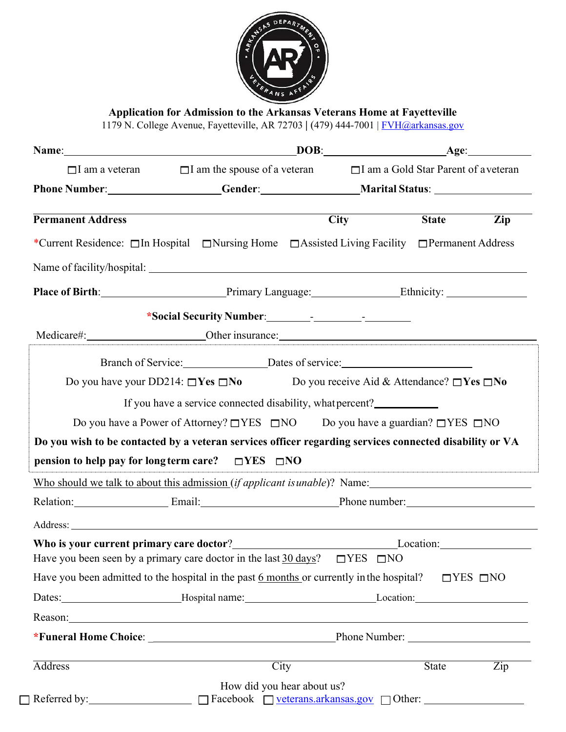

**Application for Admission to the Arkansas Veterans Home at Fayetteville** 

1179 N. College Avenue, Fayetteville, AR 72703 **|** (479) 444-7001 | FVH@arkansas.gov

|                          | $\Box$ I am a veteran $\Box$ I am the spouse of a veteran $\Box$ I am a Gold Star Parent of a veteran                                                                                                                         |             |                                  |  |  |  |
|--------------------------|-------------------------------------------------------------------------------------------------------------------------------------------------------------------------------------------------------------------------------|-------------|----------------------------------|--|--|--|
|                          | Phone Number: Gender: Gender: Marital Status: ___________________________________                                                                                                                                             |             |                                  |  |  |  |
| <b>Permanent Address</b> | the control of the control of the control of the control of the control of the control of                                                                                                                                     | <b>City</b> | <b>State</b><br>$\overline{Zip}$ |  |  |  |
|                          | *Current Residence: □In Hospital □Nursing Home □Assisted Living Facility □Permanent Address                                                                                                                                   |             |                                  |  |  |  |
|                          |                                                                                                                                                                                                                               |             |                                  |  |  |  |
|                          |                                                                                                                                                                                                                               |             |                                  |  |  |  |
|                          |                                                                                                                                                                                                                               |             |                                  |  |  |  |
|                          | Medicare#: ________________________Other insurance: _____________________________                                                                                                                                             |             |                                  |  |  |  |
|                          | Branch of Service: Dates of service: Dates of service:                                                                                                                                                                        |             |                                  |  |  |  |
|                          | Do you have your DD214: $\Box$ Yes $\Box$ No Do you receive Aid & Attendance? $\Box$ Yes $\Box$ No                                                                                                                            |             |                                  |  |  |  |
|                          |                                                                                                                                                                                                                               |             |                                  |  |  |  |
|                          | If you have a service connected disability, what percent?                                                                                                                                                                     |             |                                  |  |  |  |
|                          | Do you have a Power of Attorney? $\Box$ YES $\Box$ NO Do you have a guardian? $\Box$ YES $\Box$ NO                                                                                                                            |             |                                  |  |  |  |
|                          | Do you wish to be contacted by a veteran services officer regarding services connected disability or VA                                                                                                                       |             |                                  |  |  |  |
|                          |                                                                                                                                                                                                                               |             |                                  |  |  |  |
|                          | pension to help pay for long term care? $\square$ YES $\square$ NO                                                                                                                                                            |             |                                  |  |  |  |
|                          | Who should we talk to about this admission (if applicant is unable)? Name:                                                                                                                                                    |             |                                  |  |  |  |
|                          |                                                                                                                                                                                                                               |             |                                  |  |  |  |
|                          | Relation: Email: Email: Phone number: Phone number:                                                                                                                                                                           |             |                                  |  |  |  |
|                          |                                                                                                                                                                                                                               |             |                                  |  |  |  |
|                          | Have you been seen by a primary care doctor in the last $\frac{30 \text{ days}}{2}$ $\Box$ YES $\Box$ NO                                                                                                                      |             |                                  |  |  |  |
|                          | Have you been admitted to the hospital in the past $6$ months or currently in the hospital? $\square$ YES $\square$ NO                                                                                                        |             |                                  |  |  |  |
|                          |                                                                                                                                                                                                                               |             |                                  |  |  |  |
|                          | Reason: New York Contract the Contract of the Contract of the Contract of the Contract of the Contract of the Contract of the Contract of the Contract of the Contract of the Contract of the Contract of the Contract of the |             |                                  |  |  |  |
|                          |                                                                                                                                                                                                                               |             |                                  |  |  |  |
| <b>Address</b>           | $\overline{City}$                                                                                                                                                                                                             |             | State<br>$\overline{Zip}$        |  |  |  |
|                          | How did you hear about us?<br>□ Referred by: <u>Neteral Bacebook</u> Diverterans.arkansas.gov DOther:                                                                                                                         |             |                                  |  |  |  |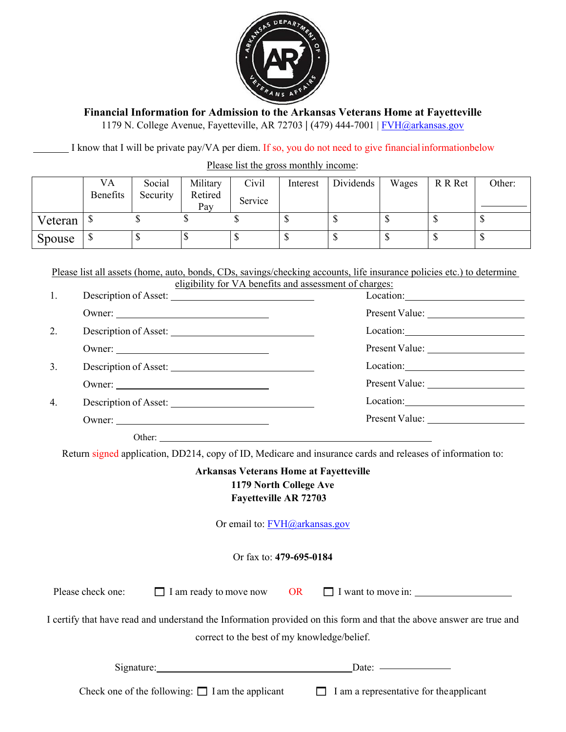

**Financial Information for Admission to the Arkansas Veterans Home at Fayetteville** 

1179 N. College Avenue, Fayetteville, AR 72703 **|** (479) 444-7001 | FVH@arkansas.gov

I know that I will be private pay/VA per diem. If so, you do not need to give financial informationbelow

Please list the gross monthly income:

|         | VA       | Social   | Military       | Civil   | Interest | Dividends | Wages | R R Ret | Other: |
|---------|----------|----------|----------------|---------|----------|-----------|-------|---------|--------|
|         | Benefits | Security | Retired<br>Pay | Service |          |           |       |         |        |
| Veteran |          |          |                |         | ۳D       |           |       |         | w      |
| Spouse  |          |          |                |         | ۵U       |           |       |         | w      |

Please list all assets (home, auto, bonds, CDs, savings/checking accounts, life insurance policies etc.) to determine eligibility for VA benefits and assessment of charges:

|    | Owner: $\frac{1}{\sqrt{1-\frac{1}{2}} \cdot \frac{1}{2}}$ |  |
|----|-----------------------------------------------------------|--|
| 2. |                                                           |  |
|    |                                                           |  |
| 3. |                                                           |  |
|    |                                                           |  |
| 4. |                                                           |  |
|    | Owner: $\qquad \qquad$                                    |  |
|    | Other:                                                    |  |

Return signed application, DD214, copy of ID, Medicare and insurance cards and releases of information to:

**Arkansas Veterans Home at Fayetteville 1179 North College Ave Fayetteville AR 72703** 

Or email to: FVH@arkansas.gov

Please check one:  $\Box$  I am ready to move now  $\Box$  I want to move in: I certify that have read and understand the Information provided on this form and that the above answer are true and correct to the best of my knowledge/belief. Signature: Date: Date: Check one of the following:  $\Box$  I am the applicant  $\Box$  I am a representative for the applicant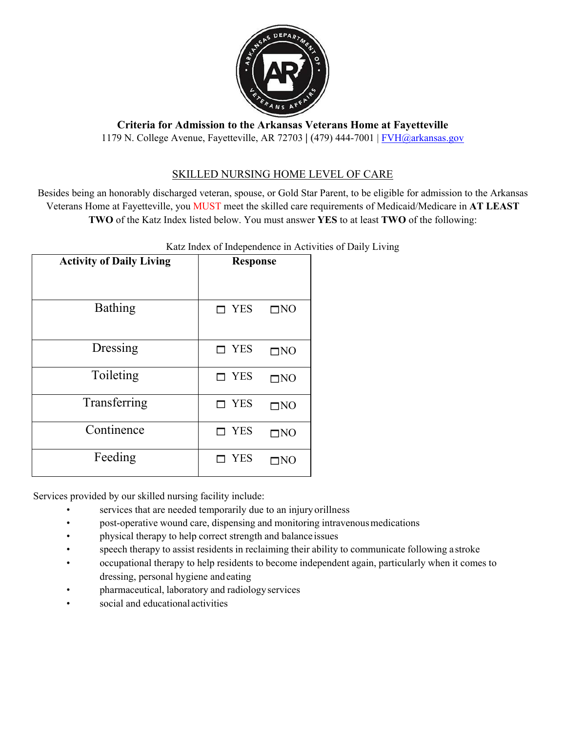

**Criteria for Admission to the Arkansas Veterans Home at Fayetteville** 

1179 N. College Avenue, Fayetteville, AR 72703 **|** (479) 444-7001 | FVH@arkansas.gov

# SKILLED NURSING HOME LEVEL OF CARE

Besides being an honorably discharged veteran, spouse, or Gold Star Parent, to be eligible for admission to the Arkansas Veterans Home at Fayetteville, you MUST meet the skilled care requirements of Medicaid/Medicare in **AT LEAST TWO** of the Katz Index listed below. You must answer **YES** to at least **TWO** of the following:

| <b>Activity of Daily Living</b> | <b>Response</b>                  |
|---------------------------------|----------------------------------|
| <b>Bathing</b>                  | $\Box$ YES<br>$\square$ NO       |
| Dressing                        | $\Box$ YES<br>$\square$ NO       |
| Toileting                       | <b>YES</b><br>П.<br>$\square$ NO |
| Transferring                    | $\Box$ YES<br>$\square$ NO       |
| Continence                      | <b>YES</b><br>⊓<br>$\square$ NO  |
| Feeding                         | <b>YES</b><br>$\square$ NO       |

Katz Index of Independence in Activities of Daily Living

Services provided by our skilled nursing facility include:

- services that are needed temporarily due to an injury orillness
- post-operative wound care, dispensing and monitoring intravenous medications
- physical therapy to help correct strength and balance issues
- speech therapy to assist residents in reclaiming their ability to communicate following a stroke
- occupational therapy to help residents to become independent again, particularly when it comes to dressing, personal hygiene and eating
- pharmaceutical, laboratory and radiology services
- social and educational activities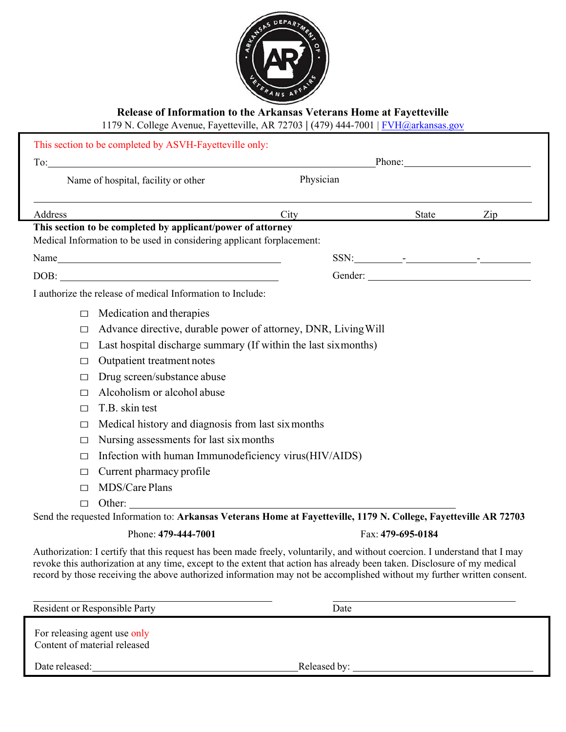

**Release of Information to the Arkansas Veterans Home at Fayetteville** 

1179 N. College Avenue, Fayetteville, AR 72703 **|** (479) 444-7001 | FVH@arkansas.gov

|                                                                           | Name of hospital, facility or other                                                                                                                                                                                                                                                                                                                                               | Physician |                   |     |  |  |
|---------------------------------------------------------------------------|-----------------------------------------------------------------------------------------------------------------------------------------------------------------------------------------------------------------------------------------------------------------------------------------------------------------------------------------------------------------------------------|-----------|-------------------|-----|--|--|
| Address                                                                   |                                                                                                                                                                                                                                                                                                                                                                                   | City      | State             | Zip |  |  |
|                                                                           | This section to be completed by applicant/power of attorney                                                                                                                                                                                                                                                                                                                       |           |                   |     |  |  |
|                                                                           | Medical Information to be used in considering applicant forplacement:                                                                                                                                                                                                                                                                                                             |           |                   |     |  |  |
|                                                                           | Name                                                                                                                                                                                                                                                                                                                                                                              |           |                   |     |  |  |
|                                                                           |                                                                                                                                                                                                                                                                                                                                                                                   |           |                   |     |  |  |
|                                                                           | I authorize the release of medical Information to Include:                                                                                                                                                                                                                                                                                                                        |           |                   |     |  |  |
| $\Box$                                                                    | Medication and therapies                                                                                                                                                                                                                                                                                                                                                          |           |                   |     |  |  |
| $\Box$                                                                    | Advance directive, durable power of attorney, DNR, Living Will                                                                                                                                                                                                                                                                                                                    |           |                   |     |  |  |
| Last hospital discharge summary (If within the last six months)<br>$\Box$ |                                                                                                                                                                                                                                                                                                                                                                                   |           |                   |     |  |  |
| □                                                                         | Outpatient treatment notes                                                                                                                                                                                                                                                                                                                                                        |           |                   |     |  |  |
| □                                                                         | Drug screen/substance abuse                                                                                                                                                                                                                                                                                                                                                       |           |                   |     |  |  |
| □                                                                         | Alcoholism or alcohol abuse                                                                                                                                                                                                                                                                                                                                                       |           |                   |     |  |  |
| □                                                                         | T.B. skin test                                                                                                                                                                                                                                                                                                                                                                    |           |                   |     |  |  |
| $\Box$                                                                    | Medical history and diagnosis from last six months                                                                                                                                                                                                                                                                                                                                |           |                   |     |  |  |
| $\Box$                                                                    | Nursing assessments for last six months                                                                                                                                                                                                                                                                                                                                           |           |                   |     |  |  |
| $\Box$                                                                    | Infection with human Immunodeficiency virus(HIV/AIDS)                                                                                                                                                                                                                                                                                                                             |           |                   |     |  |  |
| □                                                                         | Current pharmacy profile                                                                                                                                                                                                                                                                                                                                                          |           |                   |     |  |  |
| $\Box$                                                                    | <b>MDS/Care Plans</b>                                                                                                                                                                                                                                                                                                                                                             |           |                   |     |  |  |
| □                                                                         |                                                                                                                                                                                                                                                                                                                                                                                   |           |                   |     |  |  |
|                                                                           | Send the requested Information to: Arkansas Veterans Home at Fayetteville, 1179 N. College, Fayetteville AR 72703                                                                                                                                                                                                                                                                 |           |                   |     |  |  |
|                                                                           | Phone: 479-444-7001                                                                                                                                                                                                                                                                                                                                                               |           | Fax: 479-695-0184 |     |  |  |
|                                                                           | Authorization: I certify that this request has been made freely, voluntarily, and without coercion. I understand that I may<br>revoke this authorization at any time, except to the extent that action has already been taken. Disclosure of my medical<br>record by those receiving the above authorized information may not be accomplished without my further written consent. |           |                   |     |  |  |
|                                                                           | Resident or Responsible Party                                                                                                                                                                                                                                                                                                                                                     | Date      |                   |     |  |  |

Date released:<br>
Released by: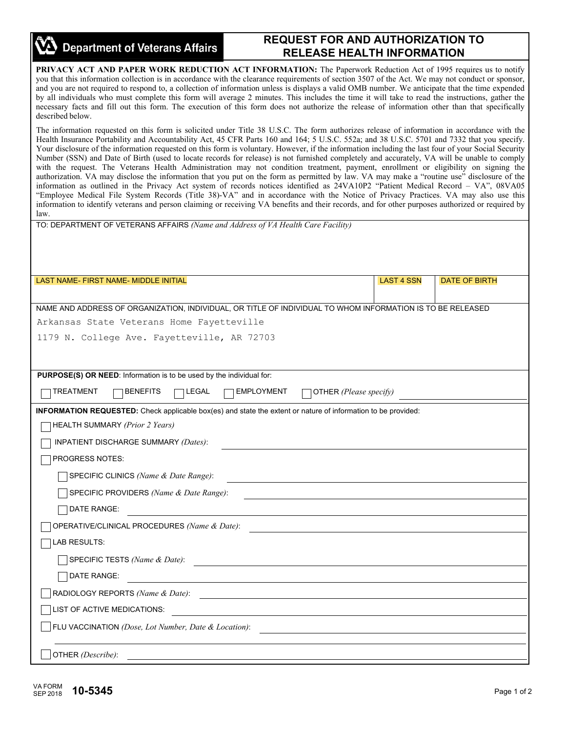| <b>Department of Veterans Affairs</b>                                                                                                                                                                                                                                                                                                                                                                                                                                                                                                                                                                                                                                                                                                                                                                                                                                                                                                                                                                                                                                                                                                                                                                                                                                                                                        | <b>REQUEST FOR AND AUTHORIZATION TO</b><br><b>RELEASE HEALTH INFORMATION</b>                                          |                      |
|------------------------------------------------------------------------------------------------------------------------------------------------------------------------------------------------------------------------------------------------------------------------------------------------------------------------------------------------------------------------------------------------------------------------------------------------------------------------------------------------------------------------------------------------------------------------------------------------------------------------------------------------------------------------------------------------------------------------------------------------------------------------------------------------------------------------------------------------------------------------------------------------------------------------------------------------------------------------------------------------------------------------------------------------------------------------------------------------------------------------------------------------------------------------------------------------------------------------------------------------------------------------------------------------------------------------------|-----------------------------------------------------------------------------------------------------------------------|----------------------|
| PRIVACY ACT AND PAPER WORK REDUCTION ACT INFORMATION: The Paperwork Reduction Act of 1995 requires us to notify<br>you that this information collection is in accordance with the clearance requirements of section 3507 of the Act. We may not conduct or sponsor,<br>and you are not required to respond to, a collection of information unless is displays a valid OMB number. We anticipate that the time expended<br>by all individuals who must complete this form will average 2 minutes. This includes the time it will take to read the instructions, gather the<br>necessary facts and fill out this form. The execution of this form does not authorize the release of information other than that specifically<br>described below.                                                                                                                                                                                                                                                                                                                                                                                                                                                                                                                                                                               |                                                                                                                       |                      |
| The information requested on this form is solicited under Title 38 U.S.C. The form authorizes release of information in accordance with the<br>Health Insurance Portability and Accountability Act, 45 CFR Parts 160 and 164; 5 U.S.C. 552a; and 38 U.S.C. 5701 and 7332 that you specify.<br>Your disclosure of the information requested on this form is voluntary. However, if the information including the last four of your Social Security<br>Number (SSN) and Date of Birth (used to locate records for release) is not furnished completely and accurately, VA will be unable to comply<br>with the request. The Veterans Health Administration may not condition treatment, payment, enrollment or eligibility on signing the<br>authorization. VA may disclose the information that you put on the form as permitted by law. VA may make a "routine use" disclosure of the<br>information as outlined in the Privacy Act system of records notices identified as 24VA10P2 "Patient Medical Record - VA", 08VA05<br>"Employee Medical File System Records (Title 38)-VA" and in accordance with the Notice of Privacy Practices. VA may also use this<br>information to identify veterans and person claiming or receiving VA benefits and their records, and for other purposes authorized or required by<br>law. |                                                                                                                       |                      |
| TO: DEPARTMENT OF VETERANS AFFAIRS (Name and Address of VA Health Care Facility)                                                                                                                                                                                                                                                                                                                                                                                                                                                                                                                                                                                                                                                                                                                                                                                                                                                                                                                                                                                                                                                                                                                                                                                                                                             |                                                                                                                       |                      |
|                                                                                                                                                                                                                                                                                                                                                                                                                                                                                                                                                                                                                                                                                                                                                                                                                                                                                                                                                                                                                                                                                                                                                                                                                                                                                                                              |                                                                                                                       |                      |
|                                                                                                                                                                                                                                                                                                                                                                                                                                                                                                                                                                                                                                                                                                                                                                                                                                                                                                                                                                                                                                                                                                                                                                                                                                                                                                                              |                                                                                                                       |                      |
| LAST NAME- FIRST NAME- MIDDLE INITIAL                                                                                                                                                                                                                                                                                                                                                                                                                                                                                                                                                                                                                                                                                                                                                                                                                                                                                                                                                                                                                                                                                                                                                                                                                                                                                        | <b>LAST 4 SSN</b>                                                                                                     | <b>DATE OF BIRTH</b> |
| NAME AND ADDRESS OF ORGANIZATION, INDIVIDUAL, OR TITLE OF INDIVIDUAL TO WHOM INFORMATION IS TO BE RELEASED                                                                                                                                                                                                                                                                                                                                                                                                                                                                                                                                                                                                                                                                                                                                                                                                                                                                                                                                                                                                                                                                                                                                                                                                                   |                                                                                                                       |                      |
| Arkansas State Veterans Home Fayetteville                                                                                                                                                                                                                                                                                                                                                                                                                                                                                                                                                                                                                                                                                                                                                                                                                                                                                                                                                                                                                                                                                                                                                                                                                                                                                    |                                                                                                                       |                      |
| 1179 N. College Ave. Fayetteville, AR 72703                                                                                                                                                                                                                                                                                                                                                                                                                                                                                                                                                                                                                                                                                                                                                                                                                                                                                                                                                                                                                                                                                                                                                                                                                                                                                  |                                                                                                                       |                      |
|                                                                                                                                                                                                                                                                                                                                                                                                                                                                                                                                                                                                                                                                                                                                                                                                                                                                                                                                                                                                                                                                                                                                                                                                                                                                                                                              |                                                                                                                       |                      |
| PURPOSE(S) OR NEED: Information is to be used by the individual for:                                                                                                                                                                                                                                                                                                                                                                                                                                                                                                                                                                                                                                                                                                                                                                                                                                                                                                                                                                                                                                                                                                                                                                                                                                                         |                                                                                                                       |                      |
| TREATMENT<br>LEGAL<br><b>BENEFITS</b>                                                                                                                                                                                                                                                                                                                                                                                                                                                                                                                                                                                                                                                                                                                                                                                                                                                                                                                                                                                                                                                                                                                                                                                                                                                                                        | EMPLOYMENT<br>OTHER (Please specify)                                                                                  |                      |
| <b>INFORMATION REQUESTED:</b> Check applicable box(es) and state the extent or nature of information to be provided:                                                                                                                                                                                                                                                                                                                                                                                                                                                                                                                                                                                                                                                                                                                                                                                                                                                                                                                                                                                                                                                                                                                                                                                                         |                                                                                                                       |                      |
| <b>HEALTH SUMMARY (Prior 2 Years)</b>                                                                                                                                                                                                                                                                                                                                                                                                                                                                                                                                                                                                                                                                                                                                                                                                                                                                                                                                                                                                                                                                                                                                                                                                                                                                                        |                                                                                                                       |                      |
| INPATIENT DISCHARGE SUMMARY (Dates):                                                                                                                                                                                                                                                                                                                                                                                                                                                                                                                                                                                                                                                                                                                                                                                                                                                                                                                                                                                                                                                                                                                                                                                                                                                                                         |                                                                                                                       |                      |
| <b>PROGRESS NOTES:</b>                                                                                                                                                                                                                                                                                                                                                                                                                                                                                                                                                                                                                                                                                                                                                                                                                                                                                                                                                                                                                                                                                                                                                                                                                                                                                                       |                                                                                                                       |                      |
| SPECIFIC CLINICS (Name & Date Range):                                                                                                                                                                                                                                                                                                                                                                                                                                                                                                                                                                                                                                                                                                                                                                                                                                                                                                                                                                                                                                                                                                                                                                                                                                                                                        |                                                                                                                       |                      |
| SPECIFIC PROVIDERS (Name & Date Range):                                                                                                                                                                                                                                                                                                                                                                                                                                                                                                                                                                                                                                                                                                                                                                                                                                                                                                                                                                                                                                                                                                                                                                                                                                                                                      |                                                                                                                       |                      |
| DATE RANGE:                                                                                                                                                                                                                                                                                                                                                                                                                                                                                                                                                                                                                                                                                                                                                                                                                                                                                                                                                                                                                                                                                                                                                                                                                                                                                                                  |                                                                                                                       |                      |
| OPERATIVE/CLINICAL PROCEDURES (Name & Date):                                                                                                                                                                                                                                                                                                                                                                                                                                                                                                                                                                                                                                                                                                                                                                                                                                                                                                                                                                                                                                                                                                                                                                                                                                                                                 |                                                                                                                       |                      |
| LAB RESULTS:                                                                                                                                                                                                                                                                                                                                                                                                                                                                                                                                                                                                                                                                                                                                                                                                                                                                                                                                                                                                                                                                                                                                                                                                                                                                                                                 |                                                                                                                       |                      |
|                                                                                                                                                                                                                                                                                                                                                                                                                                                                                                                                                                                                                                                                                                                                                                                                                                                                                                                                                                                                                                                                                                                                                                                                                                                                                                                              | SPECIFIC TESTS (Name & Date):                                                                                         |                      |
| DATE RANGE:                                                                                                                                                                                                                                                                                                                                                                                                                                                                                                                                                                                                                                                                                                                                                                                                                                                                                                                                                                                                                                                                                                                                                                                                                                                                                                                  | <u> 1989 - Johann Harry Barn, mars ar breist fan de Fryske kommunent fan de Fryske kommunent fan de Fryske kommun</u> |                      |
|                                                                                                                                                                                                                                                                                                                                                                                                                                                                                                                                                                                                                                                                                                                                                                                                                                                                                                                                                                                                                                                                                                                                                                                                                                                                                                                              | RADIOLOGY REPORTS (Name & Date):                                                                                      |                      |
| LIST OF ACTIVE MEDICATIONS:                                                                                                                                                                                                                                                                                                                                                                                                                                                                                                                                                                                                                                                                                                                                                                                                                                                                                                                                                                                                                                                                                                                                                                                                                                                                                                  |                                                                                                                       |                      |
| FLU VACCINATION (Dose, Lot Number, Date & Location):                                                                                                                                                                                                                                                                                                                                                                                                                                                                                                                                                                                                                                                                                                                                                                                                                                                                                                                                                                                                                                                                                                                                                                                                                                                                         |                                                                                                                       |                      |
| OTHER (Describe):                                                                                                                                                                                                                                                                                                                                                                                                                                                                                                                                                                                                                                                                                                                                                                                                                                                                                                                                                                                                                                                                                                                                                                                                                                                                                                            |                                                                                                                       |                      |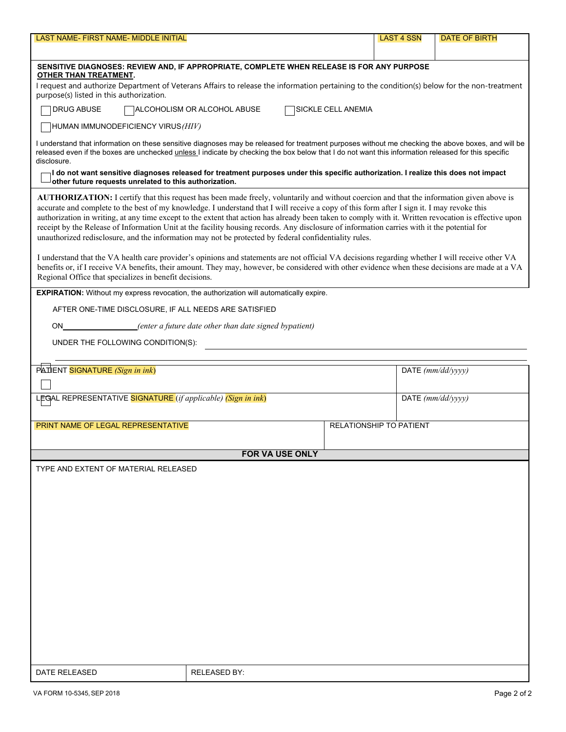| <b>LAST NAME-FIRST NAME-MIDDLE INITIAL</b>                                                                                                                                                                                                                                                                                                                                                                                                                                                                                                                                                                                                                                                               |                                                                                                                                            |  | <b>LAST 4 SSN</b>              | DATE OF BIRTH                     |  |  |
|----------------------------------------------------------------------------------------------------------------------------------------------------------------------------------------------------------------------------------------------------------------------------------------------------------------------------------------------------------------------------------------------------------------------------------------------------------------------------------------------------------------------------------------------------------------------------------------------------------------------------------------------------------------------------------------------------------|--------------------------------------------------------------------------------------------------------------------------------------------|--|--------------------------------|-----------------------------------|--|--|
|                                                                                                                                                                                                                                                                                                                                                                                                                                                                                                                                                                                                                                                                                                          |                                                                                                                                            |  |                                |                                   |  |  |
| SENSITIVE DIAGNOSES: REVIEW AND, IF APPROPRIATE, COMPLETE WHEN RELEASE IS FOR ANY PURPOSE                                                                                                                                                                                                                                                                                                                                                                                                                                                                                                                                                                                                                |                                                                                                                                            |  |                                |                                   |  |  |
| <b>OTHER THAN TREATMENT.</b><br>I request and authorize Department of Veterans Affairs to release the information pertaining to the condition(s) below for the non-treatment<br>purpose(s) listed in this authorization.                                                                                                                                                                                                                                                                                                                                                                                                                                                                                 |                                                                                                                                            |  |                                |                                   |  |  |
| DRUG ABUSE<br>ALCOHOLISM OR ALCOHOL ABUSE<br>SICKLE CELL ANEMIA                                                                                                                                                                                                                                                                                                                                                                                                                                                                                                                                                                                                                                          |                                                                                                                                            |  |                                |                                   |  |  |
| $\exists$ HUMAN IMMUNODEFICIENCY VIRUS $(HIV)$                                                                                                                                                                                                                                                                                                                                                                                                                                                                                                                                                                                                                                                           |                                                                                                                                            |  |                                |                                   |  |  |
| I understand that information on these sensitive diagnoses may be released for treatment purposes without me checking the above boxes, and will be<br>released even if the boxes are unchecked <b>unless</b> I indicate by checking the box below that I do not want this information released for this specific<br>disclosure.                                                                                                                                                                                                                                                                                                                                                                          |                                                                                                                                            |  |                                |                                   |  |  |
| other future requests unrelated to this authorization.                                                                                                                                                                                                                                                                                                                                                                                                                                                                                                                                                                                                                                                   | $\neg$ I do not want sensitive diagnoses released for treatment purposes under this specific authorization. I realize this does not impact |  |                                |                                   |  |  |
| AUTHORIZATION: I certify that this request has been made freely, voluntarily and without coercion and that the information given above is<br>accurate and complete to the best of my knowledge. I understand that I will receive a copy of this form after I sign it. I may revoke this<br>authorization in writing, at any time except to the extent that action has already been taken to comply with it. Written revocation is effective upon<br>receipt by the Release of Information Unit at the facility housing records. Any disclosure of information carries with it the potential for<br>unauthorized redisclosure, and the information may not be protected by federal confidentiality rules. |                                                                                                                                            |  |                                |                                   |  |  |
| I understand that the VA health care provider's opinions and statements are not official VA decisions regarding whether I will receive other VA<br>benefits or, if I receive VA benefits, their amount. They may, however, be considered with other evidence when these decisions are made at a VA<br>Regional Office that specializes in benefit decisions.                                                                                                                                                                                                                                                                                                                                             |                                                                                                                                            |  |                                |                                   |  |  |
| <b>EXPIRATION:</b> Without my express revocation, the authorization will automatically expire.                                                                                                                                                                                                                                                                                                                                                                                                                                                                                                                                                                                                           |                                                                                                                                            |  |                                |                                   |  |  |
| AFTER ONE-TIME DISCLOSURE, IF ALL NEEDS ARE SATISFIED                                                                                                                                                                                                                                                                                                                                                                                                                                                                                                                                                                                                                                                    |                                                                                                                                            |  |                                |                                   |  |  |
| ON.                                                                                                                                                                                                                                                                                                                                                                                                                                                                                                                                                                                                                                                                                                      | (enter a future date other than date signed bypatient)                                                                                     |  |                                |                                   |  |  |
| UNDER THE FOLLOWING CONDITION(S):                                                                                                                                                                                                                                                                                                                                                                                                                                                                                                                                                                                                                                                                        |                                                                                                                                            |  |                                |                                   |  |  |
|                                                                                                                                                                                                                                                                                                                                                                                                                                                                                                                                                                                                                                                                                                          |                                                                                                                                            |  |                                |                                   |  |  |
| PATIENT SIGNATURE (Sign in ink)                                                                                                                                                                                                                                                                                                                                                                                                                                                                                                                                                                                                                                                                          |                                                                                                                                            |  |                                | DATE $(mm/dd/\overline{y y y y})$ |  |  |
| LEGAL REPRESENTATIVE SIGNATURE (if applicable) (Sign in ink)                                                                                                                                                                                                                                                                                                                                                                                                                                                                                                                                                                                                                                             |                                                                                                                                            |  |                                | DATE (mm/dd/yyyy)                 |  |  |
| PRINT NAME OF LEGAL REPRESENTATIVE                                                                                                                                                                                                                                                                                                                                                                                                                                                                                                                                                                                                                                                                       |                                                                                                                                            |  | <b>RELATIONSHIP TO PATIENT</b> |                                   |  |  |
|                                                                                                                                                                                                                                                                                                                                                                                                                                                                                                                                                                                                                                                                                                          | <b>FOR VA USE ONLY</b>                                                                                                                     |  |                                |                                   |  |  |
| TYPE AND EXTENT OF MATERIAL RELEASED                                                                                                                                                                                                                                                                                                                                                                                                                                                                                                                                                                                                                                                                     |                                                                                                                                            |  |                                |                                   |  |  |
|                                                                                                                                                                                                                                                                                                                                                                                                                                                                                                                                                                                                                                                                                                          |                                                                                                                                            |  |                                |                                   |  |  |
|                                                                                                                                                                                                                                                                                                                                                                                                                                                                                                                                                                                                                                                                                                          |                                                                                                                                            |  |                                |                                   |  |  |
|                                                                                                                                                                                                                                                                                                                                                                                                                                                                                                                                                                                                                                                                                                          |                                                                                                                                            |  |                                |                                   |  |  |
|                                                                                                                                                                                                                                                                                                                                                                                                                                                                                                                                                                                                                                                                                                          |                                                                                                                                            |  |                                |                                   |  |  |
|                                                                                                                                                                                                                                                                                                                                                                                                                                                                                                                                                                                                                                                                                                          |                                                                                                                                            |  |                                |                                   |  |  |
|                                                                                                                                                                                                                                                                                                                                                                                                                                                                                                                                                                                                                                                                                                          |                                                                                                                                            |  |                                |                                   |  |  |
|                                                                                                                                                                                                                                                                                                                                                                                                                                                                                                                                                                                                                                                                                                          |                                                                                                                                            |  |                                |                                   |  |  |
|                                                                                                                                                                                                                                                                                                                                                                                                                                                                                                                                                                                                                                                                                                          |                                                                                                                                            |  |                                |                                   |  |  |
|                                                                                                                                                                                                                                                                                                                                                                                                                                                                                                                                                                                                                                                                                                          |                                                                                                                                            |  |                                |                                   |  |  |
|                                                                                                                                                                                                                                                                                                                                                                                                                                                                                                                                                                                                                                                                                                          |                                                                                                                                            |  |                                |                                   |  |  |
|                                                                                                                                                                                                                                                                                                                                                                                                                                                                                                                                                                                                                                                                                                          |                                                                                                                                            |  |                                |                                   |  |  |
|                                                                                                                                                                                                                                                                                                                                                                                                                                                                                                                                                                                                                                                                                                          |                                                                                                                                            |  |                                |                                   |  |  |
| <b>DATE RELEASED</b>                                                                                                                                                                                                                                                                                                                                                                                                                                                                                                                                                                                                                                                                                     | <b>RELEASED BY:</b>                                                                                                                        |  |                                |                                   |  |  |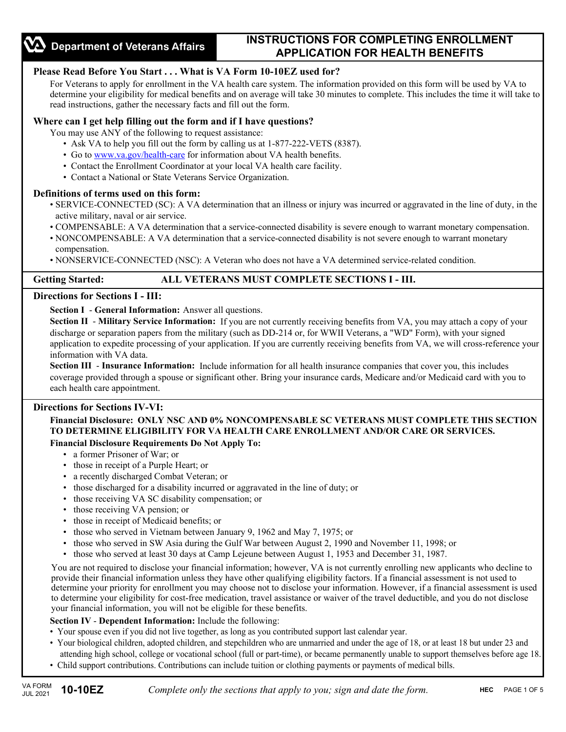# **INSTRUCTIONS FOR COMPLETING ENROLLMENT APPLICATION FOR HEALTH BENEFITS**

## **Please Read Before You Start . . . What is VA Form 10-10EZ used for?**

For Veterans to apply for enrollment in the VA health care system. The information provided on this form will be used by VA to determine your eligibility for medical benefits and on average will take 30 minutes to complete. This includes the time it will take to read instructions, gather the necessary facts and fill out the form.

### **Where can I get help filling out the form and if I have questions?**

You may use ANY of the following to request assistance:

- Ask VA to help you fill out the form by calling us at 1-877-222-VETS (8387).
- Go to <www.va.gov/health-care> for information about VA health benefits.
- Contact the Enrollment Coordinator at your local VA health care facility.
- Contact a National or State Veterans Service Organization.

### **Definitions of terms used on this form:**

- SERVICE-CONNECTED (SC): A VA determination that an illness or injury was incurred or aggravated in the line of duty, in the active military, naval or air service.
- COMPENSABLE: A VA determination that a service-connected disability is severe enough to warrant monetary compensation.
- NONCOMPENSABLE: A VA determination that a service-connected disability is not severe enough to warrant monetary compensation.
- NONSERVICE-CONNECTED (NSC): A Veteran who does not have a VA determined service-related condition.

#### **Getting Started:**

## **ALL VETERANS MUST COMPLETE SECTIONS I - III.**

### **Directions for Sections I - III:**

### **Section I** - **General Information:** Answer all questions.

**Section II** - **Military Service Information:** If you are not currently receiving benefits from VA, you may attach a copy of your discharge or separation papers from the military (such as DD-214 or, for WWII Veterans, a "WD" Form), with your signed application to expedite processing of your application. If you are currently receiving benefits from VA, we will cross-reference your information with VA data.

Section III - Insurance Information: Include information for all health insurance companies that cover you, this includes coverage provided through a spouse or significant other. Bring your insurance cards, Medicare and/or Medicaid card with you to each health care appointment.

#### **Directions for Sections IV-VI:**

# **ONLY NSC AND 0% NONCOMPENSABLE SC VETERANS MUST COMPLETE THIS SECTION Financial Disclosure: TO DETERMINE ELIGIBILITY FOR VA HEALTH CARE ENROLLMENT AND/OR CARE OR SERVICES.**

## **Financial Disclosure Requirements Do Not Apply To:**

- a former Prisoner of War; or
- those in receipt of a Purple Heart; or
- a recently discharged Combat Veteran; or
- those discharged for a disability incurred or aggravated in the line of duty; or
- those receiving VA SC disability compensation; or
- those receiving VA pension; or
- those in receipt of Medicaid benefits; or
- those who served in Vietnam between January 9, 1962 and May 7, 1975; or
- those who served in SW Asia during the Gulf War between August 2, 1990 and November 11, 1998; or
- those who served at least 30 days at Camp Lejeune between August 1, 1953 and December 31, 1987.

You are not required to disclose your financial information; however, VA is not currently enrolling new applicants who decline to provide their financial information unless they have other qualifying eligibility factors. If a financial assessment is not used to determine your priority for enrollment you may choose not to disclose your information. However, if a financial assessment is used to determine your eligibility for cost-free medication, travel assistance or waiver of the travel deductible, and you do not disclose your financial information, you will not be eligible for these benefits.

#### **Section IV** - **Dependent Information:** Include the following:

- Your spouse even if you did not live together, as long as you contributed support last calendar year.
- Your biological children, adopted children, and stepchildren who are unmarried and under the age of 18, or at least 18 but under 23 and attending high school, college or vocational school (full or part-time), or became permanently unable to support themselves before age 18.
- Child support contributions. Contributions can include tuition or clothing payments or payments of medical bills.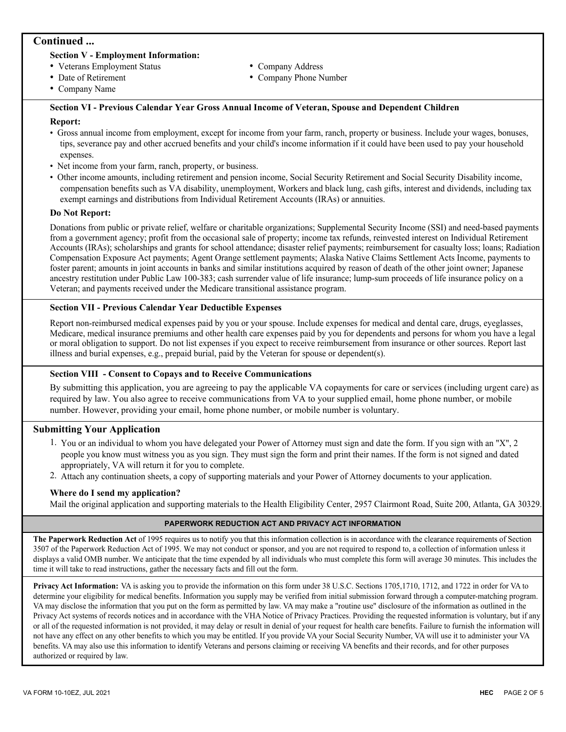### **Continued ...**

### **Section V - Employment Information:**

- Veterans Employment Status
- Date of Retirement
- Company Address
- Company Phone Number

• Company Name

### **Section VI - Previous Calendar Year Gross Annual Income of Veteran, Spouse and Dependent Children**

#### **Report:**

- Gross annual income from employment, except for income from your farm, ranch, property or business. Include your wages, bonuses, tips, severance pay and other accrued benefits and your child's income information if it could have been used to pay your household expenses.
- Net income from your farm, ranch, property, or business.
- Other income amounts, including retirement and pension income, Social Security Retirement and Social Security Disability income, compensation benefits such as VA disability, unemployment, Workers and black lung, cash gifts, interest and dividends, including tax exempt earnings and distributions from Individual Retirement Accounts (IRAs) or annuities.

#### **Do Not Report:**

Donations from public or private relief, welfare or charitable organizations; Supplemental Security Income (SSI) and need-based payments from a government agency; profit from the occasional sale of property; income tax refunds, reinvested interest on Individual Retirement Accounts (IRAs); scholarships and grants for school attendance; disaster relief payments; reimbursement for casualty loss; loans; Radiation Compensation Exposure Act payments; Agent Orange settlement payments; Alaska Native Claims Settlement Acts Income, payments to foster parent; amounts in joint accounts in banks and similar institutions acquired by reason of death of the other joint owner; Japanese ancestry restitution under Public Law 100-383; cash surrender value of life insurance; lump-sum proceeds of life insurance policy on a Veteran; and payments received under the Medicare transitional assistance program.

#### **Section VII - Previous Calendar Year Deductible Expenses**

Report non-reimbursed medical expenses paid by you or your spouse. Include expenses for medical and dental care, drugs, eyeglasses, Medicare, medical insurance premiums and other health care expenses paid by you for dependents and persons for whom you have a legal or moral obligation to support. Do not list expenses if you expect to receive reimbursement from insurance or other sources. Report last illness and burial expenses, e.g., prepaid burial, paid by the Veteran for spouse or dependent(s).

#### **Section VIII - Consent to Copays and to Receive Communications**

By submitting this application, you are agreeing to pay the applicable VA copayments for care or services (including urgent care) as required by law. You also agree to receive communications from VA to your supplied email, home phone number, or mobile number. However, providing your email, home phone number, or mobile number is voluntary.

#### **Submitting Your Application**

- 1. You or an individual to whom you have delegated your Power of Attorney must sign and date the form. If you sign with an "X", 2 people you know must witness you as you sign. They must sign the form and print their names. If the form is not signed and dated appropriately, VA will return it for you to complete.
- 2. Attach any continuation sheets, a copy of supporting materials and your Power of Attorney documents to your application.

#### **Where do I send my application?**

Mail the original application and supporting materials to the Health Eligibility Center, 2957 Clairmont Road, Suite 200, Atlanta, GA 30329.

#### **PAPERWORK REDUCTION ACT AND PRIVACY ACT INFORMATION**

**The Paperwork Reduction Act** of 1995 requires us to notify you that this information collection is in accordance with the clearance requirements of Section 3507 of the Paperwork Reduction Act of 1995. We may not conduct or sponsor, and you are not required to respond to, a collection of information unless it displays a valid OMB number. We anticipate that the time expended by all individuals who must complete this form will average 30 minutes. This includes the time it will take to read instructions, gather the necessary facts and fill out the form.

Privacy Act Information: VA is asking you to provide the information on this form under 38 U.S.C. Sections 1705,1710, 1712, and 1722 in order for VA to determine your eligibility for medical benefits. Information you supply may be verified from initial submission forward through a computer-matching program. VA may disclose the information that you put on the form as permitted by law. VA may make a "routine use" disclosure of the information as outlined in the Privacy Act systems of records notices and in accordance with the VHA Notice of Privacy Practices. Providing the requested information is voluntary, but if any or all of the requested information is not provided, it may delay or result in denial of your request for health care benefits. Failure to furnish the information will not have any effect on any other benefits to which you may be entitled. If you provide VA your Social Security Number, VA will use it to administer your VA benefits. VA may also use this information to identify Veterans and persons claiming or receiving VA benefits and their records, and for other purposes authorized or required by law.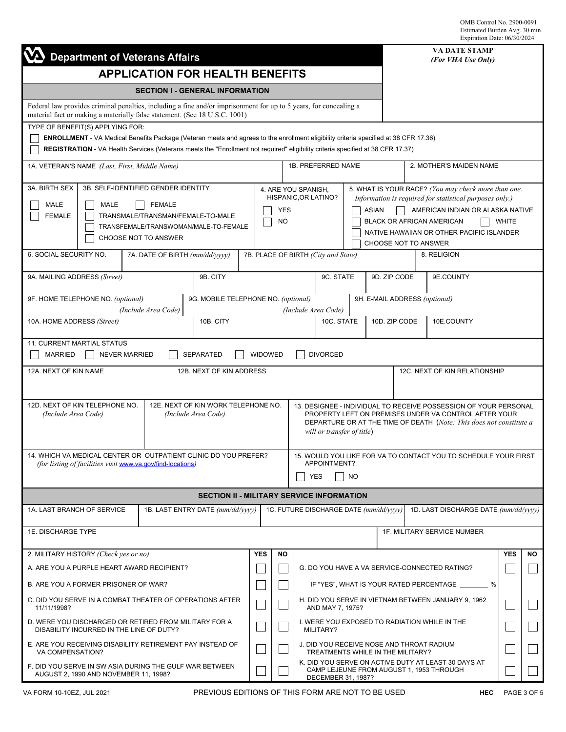OMB Control No. 2900-0091 Estimated Burden Avg. 30 min. Expiration Date: 06/30/2024

| <b>Department of Veterans Affairs</b>                                                                                                                                                                                                                                                                                                                 |                      |                                                                            |                |            |                                                                                                                       |                                     |           |                                                                                | Expiration Date: 06/30/2024<br><b>VA DATE STAMP</b><br>(For VHA Use Only)                                      |              |    |
|-------------------------------------------------------------------------------------------------------------------------------------------------------------------------------------------------------------------------------------------------------------------------------------------------------------------------------------------------------|----------------------|----------------------------------------------------------------------------|----------------|------------|-----------------------------------------------------------------------------------------------------------------------|-------------------------------------|-----------|--------------------------------------------------------------------------------|----------------------------------------------------------------------------------------------------------------|--------------|----|
|                                                                                                                                                                                                                                                                                                                                                       |                      | <b>APPLICATION FOR HEALTH BENEFITS</b>                                     |                |            |                                                                                                                       |                                     |           |                                                                                |                                                                                                                |              |    |
| <b>SECTION I - GENERAL INFORMATION</b>                                                                                                                                                                                                                                                                                                                |                      |                                                                            |                |            |                                                                                                                       |                                     |           |                                                                                |                                                                                                                |              |    |
| Federal law provides criminal penalties, including a fine and/or imprisonment for up to 5 years, for concealing a<br>material fact or making a materially false statement. (See 18 U.S.C. 1001)                                                                                                                                                       |                      |                                                                            |                |            |                                                                                                                       |                                     |           |                                                                                |                                                                                                                |              |    |
| TYPE OF BENEFIT(S) APPLYING FOR:                                                                                                                                                                                                                                                                                                                      |                      |                                                                            |                |            |                                                                                                                       |                                     |           |                                                                                |                                                                                                                |              |    |
| <b>ENROLLMENT</b> - VA Medical Benefits Package (Veteran meets and agrees to the enrollment eligibility criteria specified at 38 CFR 17.36)<br>REGISTRATION - VA Health Services (Veterans meets the "Enrollment not required" eligibility criteria specified at 38 CFR 17.37)                                                                        |                      |                                                                            |                |            |                                                                                                                       |                                     |           |                                                                                |                                                                                                                |              |    |
| 1A. VETERAN'S NAME (Last, First, Middle Name)                                                                                                                                                                                                                                                                                                         |                      |                                                                            |                |            |                                                                                                                       | 1B. PREFERRED NAME                  |           |                                                                                | 2. MOTHER'S MAIDEN NAME                                                                                        |              |    |
|                                                                                                                                                                                                                                                                                                                                                       |                      |                                                                            |                |            |                                                                                                                       |                                     |           |                                                                                |                                                                                                                |              |    |
| 3A. BIRTH SEX<br>3B. SELF-IDENTIFIED GENDER IDENTITY                                                                                                                                                                                                                                                                                                  |                      |                                                                            |                |            | 4. ARE YOU SPANISH,<br>HISPANIC, OR LATINO?                                                                           |                                     |           |                                                                                | 5. WHAT IS YOUR RACE? (You may check more than one.<br>Information is required for statistical purposes only.) |              |    |
| MALE<br>MALE                                                                                                                                                                                                                                                                                                                                          | <b>FEMALE</b>        |                                                                            |                | <b>YES</b> |                                                                                                                       |                                     |           | ASIAN                                                                          | AMERICAN INDIAN OR ALASKA NATIVE                                                                               |              |    |
| <b>FEMALE</b>                                                                                                                                                                                                                                                                                                                                         |                      | TRANSMALE/TRANSMAN/FEMALE-TO-MALE<br>TRANSFEMALE/TRANSWOMAN/MALE-TO-FEMALE |                | <b>NO</b>  |                                                                                                                       |                                     |           |                                                                                | BLACK OR AFRICAN AMERICAN                                                                                      | <b>WHITE</b> |    |
|                                                                                                                                                                                                                                                                                                                                                       | CHOOSE NOT TO ANSWER |                                                                            |                |            |                                                                                                                       |                                     |           | <b>CHOOSE NOT TO ANSWER</b>                                                    | NATIVE HAWAIIAN OR OTHER PACIFIC ISLANDER                                                                      |              |    |
| 6. SOCIAL SECURITY NO.                                                                                                                                                                                                                                                                                                                                |                      | 7A. DATE OF BIRTH (mm/dd/yyyy)                                             |                |            |                                                                                                                       | 7B. PLACE OF BIRTH (City and State) |           |                                                                                | 8. RELIGION                                                                                                    |              |    |
|                                                                                                                                                                                                                                                                                                                                                       |                      |                                                                            |                |            |                                                                                                                       |                                     |           |                                                                                |                                                                                                                |              |    |
| 9A. MAILING ADDRESS (Street)                                                                                                                                                                                                                                                                                                                          |                      | 9B. CITY                                                                   |                |            |                                                                                                                       | 9C. STATE                           |           | 9D. ZIP CODE                                                                   | 9E.COUNTY                                                                                                      |              |    |
| 9F. HOME TELEPHONE NO. (optional)                                                                                                                                                                                                                                                                                                                     | (Include Area Code)  | 9G. MOBILE TELEPHONE NO. (optional)                                        |                |            |                                                                                                                       | (Include Area Code)                 |           | 9H. E-MAIL ADDRESS (optional)                                                  |                                                                                                                |              |    |
| 10A. HOME ADDRESS (Street)                                                                                                                                                                                                                                                                                                                            |                      | 10B. CITY                                                                  |                |            |                                                                                                                       | 10C. STATE                          |           | 10D. ZIP CODE                                                                  | 10E.COUNTY                                                                                                     |              |    |
| 11. CURRENT MARTIAL STATUS                                                                                                                                                                                                                                                                                                                            |                      |                                                                            |                |            |                                                                                                                       |                                     |           |                                                                                |                                                                                                                |              |    |
| <b>NEVER MARRIED</b><br><b>MARRIED</b>                                                                                                                                                                                                                                                                                                                |                      | <b>SEPARATED</b>                                                           | <b>WIDOWED</b> |            |                                                                                                                       | <b>DIVORCED</b>                     |           |                                                                                |                                                                                                                |              |    |
| 12A. NEXT OF KIN NAME                                                                                                                                                                                                                                                                                                                                 |                      | 12B. NEXT OF KIN ADDRESS                                                   |                |            |                                                                                                                       |                                     |           |                                                                                | 12C. NEXT OF KIN RELATIONSHIP                                                                                  |              |    |
| 12D. NEXT OF KIN TELEPHONE NO.<br>12E. NEXT OF KIN WORK TELEPHONE NO.<br>13. DESIGNEE - INDIVIDUAL TO RECEIVE POSSESSION OF YOUR PERSONAL<br>(Include Area Code)<br>(Include Area Code)<br>PROPERTY LEFT ON PREMISES UNDER VA CONTROL AFTER YOUR<br>DEPARTURE OR AT THE TIME OF DEATH (Note: This does not constitute a<br>will or transfer of title) |                      |                                                                            |                |            |                                                                                                                       |                                     |           |                                                                                |                                                                                                                |              |    |
| 14. WHICH VA MEDICAL CENTER OR OUTPATIENT CLINIC DO YOU PREFER?<br>(for listing of facilities visit www.va.gov/find-locations)                                                                                                                                                                                                                        |                      |                                                                            |                |            | YES                                                                                                                   | APPOINTMENT?                        | <b>NO</b> |                                                                                | 15. WOULD YOU LIKE FOR VA TO CONTACT YOU TO SCHEDULE YOUR FIRST                                                |              |    |
|                                                                                                                                                                                                                                                                                                                                                       |                      | <b>SECTION II - MILITARY SERVICE INFORMATION</b>                           |                |            |                                                                                                                       |                                     |           |                                                                                |                                                                                                                |              |    |
| 1A. LAST BRANCH OF SERVICE                                                                                                                                                                                                                                                                                                                            |                      | 1B. LAST ENTRY DATE (mm/dd/vvvv)                                           |                |            |                                                                                                                       |                                     |           | 1C. FUTURE DISCHARGE DATE (mm/dd/vvvv)                                         | 1D. LAST DISCHARGE DATE (mm/dd/vvvv)                                                                           |              |    |
| 1E. DISCHARGE TYPE                                                                                                                                                                                                                                                                                                                                    |                      |                                                                            |                |            |                                                                                                                       |                                     |           | 1F. MILITARY SERVICE NUMBER                                                    |                                                                                                                |              |    |
| 2. MILITARY HISTORY (Check yes or no)                                                                                                                                                                                                                                                                                                                 |                      |                                                                            | <b>YES</b>     | <b>NO</b>  |                                                                                                                       |                                     |           |                                                                                |                                                                                                                | <b>YES</b>   | NO |
| A. ARE YOU A PURPLE HEART AWARD RECIPIENT?                                                                                                                                                                                                                                                                                                            |                      |                                                                            |                |            |                                                                                                                       |                                     |           |                                                                                | G. DO YOU HAVE A VA SERVICE-CONNECTED RATING?                                                                  |              |    |
| B. ARE YOU A FORMER PRISONER OF WAR?                                                                                                                                                                                                                                                                                                                  |                      |                                                                            |                |            |                                                                                                                       |                                     |           |                                                                                | IF "YES", WHAT IS YOUR RATED PERCENTAGE %                                                                      |              |    |
| C. DID YOU SERVE IN A COMBAT THEATER OF OPERATIONS AFTER<br>11/11/1998?                                                                                                                                                                                                                                                                               |                      |                                                                            |                |            |                                                                                                                       | AND MAY 7, 1975?                    |           |                                                                                | H. DID YOU SERVE IN VIETNAM BETWEEN JANUARY 9, 1962                                                            |              |    |
| D. WERE YOU DISCHARGED OR RETIRED FROM MILITARY FOR A<br>DISABILITY INCURRED IN THE LINE OF DUTY?                                                                                                                                                                                                                                                     |                      |                                                                            |                |            |                                                                                                                       | MILITARY?                           |           |                                                                                | I. WERE YOU EXPOSED TO RADIATION WHILE IN THE                                                                  |              |    |
| E. ARE YOU RECEIVING DISABILITY RETIREMENT PAY INSTEAD OF<br>VA COMPENSATION?                                                                                                                                                                                                                                                                         |                      |                                                                            |                |            |                                                                                                                       |                                     |           | J. DID YOU RECEIVE NOSE AND THROAT RADIUM<br>TREATMENTS WHILE IN THE MILITARY? |                                                                                                                |              |    |
| F. DID YOU SERVE IN SW ASIA DURING THE GULF WAR BETWEEN<br>AUGUST 2, 1990 AND NOVEMBER 11, 1998?                                                                                                                                                                                                                                                      |                      |                                                                            |                |            | K. DID YOU SERVE ON ACTIVE DUTY AT LEAST 30 DAYS AT<br>CAMP LEJEUNE FROM AUGUST 1, 1953 THROUGH<br>DECEMBER 31, 1987? |                                     |           |                                                                                |                                                                                                                |              |    |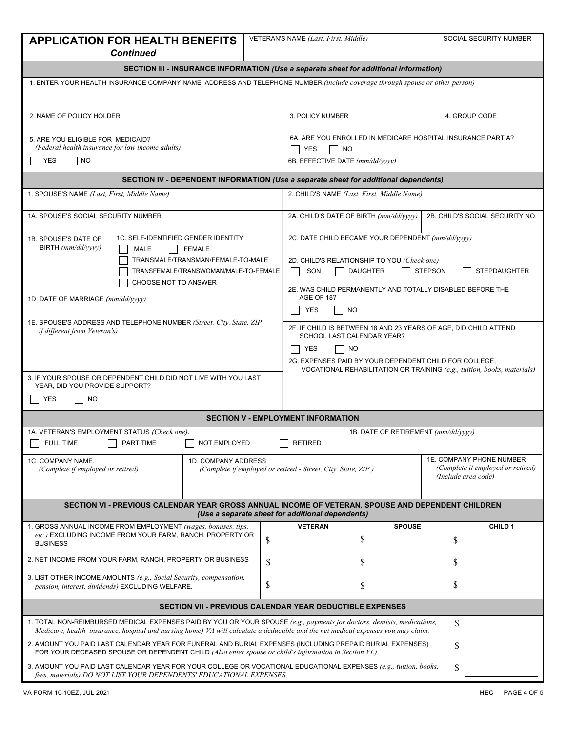| <b>APPLICATION FOR HEALTH BENEFITS</b><br><b>Continued</b>                                                                                                                              |                                                                                                                                                                                                                                                              |    | VETERAN'S NAME (Last, First, Middle)                                                                                      | SOCIAL SECURITY NUMBER                                                   |                |                                                                                      |  |
|-----------------------------------------------------------------------------------------------------------------------------------------------------------------------------------------|--------------------------------------------------------------------------------------------------------------------------------------------------------------------------------------------------------------------------------------------------------------|----|---------------------------------------------------------------------------------------------------------------------------|--------------------------------------------------------------------------|----------------|--------------------------------------------------------------------------------------|--|
|                                                                                                                                                                                         | SECTION III - INSURANCE INFORMATION (Use a separate sheet for additional information)                                                                                                                                                                        |    |                                                                                                                           |                                                                          |                |                                                                                      |  |
| 1. ENTER YOUR HEALTH INSURANCE COMPANY NAME, ADDRESS AND TELEPHONE NUMBER (include coverage through spouse or other person)                                                             |                                                                                                                                                                                                                                                              |    |                                                                                                                           |                                                                          |                |                                                                                      |  |
| 2. NAME OF POLICY HOLDER                                                                                                                                                                |                                                                                                                                                                                                                                                              |    | 3. POLICY NUMBER                                                                                                          |                                                                          |                | 4. GROUP CODE                                                                        |  |
| 5. ARE YOU ELIGIBLE FOR MEDICAID?<br>(Federal health insurance for low income adults)<br><b>YES</b><br><b>NO</b>                                                                        |                                                                                                                                                                                                                                                              |    | <b>YES</b><br>$\perp$<br>6B. EFFECTIVE DATE (mm/dd/yyyy)                                                                  | 6A. ARE YOU ENROLLED IN MEDICARE HOSPITAL INSURANCE PART A?<br><b>NO</b> |                |                                                                                      |  |
|                                                                                                                                                                                         |                                                                                                                                                                                                                                                              |    |                                                                                                                           |                                                                          |                |                                                                                      |  |
| 1. SPOUSE'S NAME (Last, First, Middle Name)                                                                                                                                             | SECTION IV - DEPENDENT INFORMATION (Use a separate sheet for additional dependents)                                                                                                                                                                          |    |                                                                                                                           | 2. CHILD'S NAME (Last, First, Middle Name)                               |                |                                                                                      |  |
|                                                                                                                                                                                         |                                                                                                                                                                                                                                                              |    |                                                                                                                           |                                                                          |                |                                                                                      |  |
| 1A. SPOUSE'S SOCIAL SECURITY NUMBER                                                                                                                                                     |                                                                                                                                                                                                                                                              |    |                                                                                                                           | 2A. CHILD'S DATE OF BIRTH (mm/dd/yyyy)                                   |                | 2B. CHILD'S SOCIAL SECURITY NO.                                                      |  |
| 1B. SPOUSE'S DATE OF<br>BIRTH (mm/dd/yyyy)                                                                                                                                              | 1C. SELF-IDENTIFIED GENDER IDENTITY<br><b>FEMALE</b><br>MALE                                                                                                                                                                                                 |    |                                                                                                                           | 2C. DATE CHILD BECAME YOUR DEPENDENT (mm/dd/yyyy)                        |                |                                                                                      |  |
|                                                                                                                                                                                         | TRANSMALE/TRANSMAN/FEMALE-TO-MALE<br>TRANSFEMALE/TRANSWOMAN/MALE-TO-FEMALE<br>CHOOSE NOT TO ANSWER                                                                                                                                                           |    | SON                                                                                                                       | 2D. CHILD'S RELATIONSHIP TO YOU (Check one)<br><b>DAUGHTER</b>           | <b>STEPSON</b> | STEPDAUGHTER                                                                         |  |
| 1D. DATE OF MARRIAGE (mm/dd/yyyy)                                                                                                                                                       |                                                                                                                                                                                                                                                              |    | <b>AGE OF 18?</b><br><b>YES</b>                                                                                           | 2E. WAS CHILD PERMANENTLY AND TOTALLY DISABLED BEFORE THE<br><b>NO</b>   |                |                                                                                      |  |
| 1E. SPOUSE'S ADDRESS AND TELEPHONE NUMBER (Street, City, State, ZIP<br>if different from Veteran's)                                                                                     |                                                                                                                                                                                                                                                              |    | 2F. IF CHILD IS BETWEEN 18 AND 23 YEARS OF AGE, DID CHILD ATTEND<br>SCHOOL LAST CALENDAR YEAR?<br><b>YES</b><br><b>NO</b> |                                                                          |                |                                                                                      |  |
| 3. IF YOUR SPOUSE OR DEPENDENT CHILD DID NOT LIVE WITH YOU LAST<br>YEAR, DID YOU PROVIDE SUPPORT?<br>YES<br><b>NO</b>                                                                   |                                                                                                                                                                                                                                                              |    |                                                                                                                           | 2G. EXPENSES PAID BY YOUR DEPENDENT CHILD FOR COLLEGE.                   |                | VOCATIONAL REHABILITATION OR TRAINING (e.g., tuition, books, materials)              |  |
|                                                                                                                                                                                         |                                                                                                                                                                                                                                                              |    | <b>SECTION V - EMPLOYMENT INFORMATION</b>                                                                                 |                                                                          |                |                                                                                      |  |
| 1A. VETERAN'S EMPLOYMENT STATUS (Check one).<br>$\Box$ FULL TIME                                                                                                                        | PART TIME<br>NOT EMPLOYED                                                                                                                                                                                                                                    |    | <b>RETIRED</b>                                                                                                            | 1B. DATE OF RETIREMENT (mm/dd/yyyy)                                      |                |                                                                                      |  |
| 1C. COMPANY NAME.<br>1D. COMPANY ADDRESS<br>(Complete if employed or retired - Street, City, State, ZIP)<br>(Complete if employed or retired)                                           |                                                                                                                                                                                                                                                              |    |                                                                                                                           |                                                                          |                | 1E. COMPANY PHONE NUMBER<br>(Complete if employed or retired)<br>(Include area code) |  |
| SECTION VI - PREVIOUS CALENDAR YEAR GROSS ANNUAL INCOME OF VETERAN, SPOUSE AND DEPENDENT CHILDREN<br>(Use a separate sheet for additional dependents)                                   |                                                                                                                                                                                                                                                              |    |                                                                                                                           |                                                                          |                |                                                                                      |  |
| <b>BUSINESS</b>                                                                                                                                                                         | 1. GROSS ANNUAL INCOME FROM EMPLOYMENT (wages, bonuses, tips,<br>etc.) EXCLUDING INCOME FROM YOUR FARM, RANCH, PROPERTY OR                                                                                                                                   | \$ | <b>VETERAN</b>                                                                                                            | <b>SPOUSE</b><br>\$                                                      |                | CHILD <sub>1</sub><br>\$                                                             |  |
| 2. NET INCOME FROM YOUR FARM, RANCH, PROPERTY OR BUSINESS                                                                                                                               |                                                                                                                                                                                                                                                              | \$ |                                                                                                                           | S                                                                        |                | \$                                                                                   |  |
| 3. LIST OTHER INCOME AMOUNTS (e.g., Social Security, compensation,<br>pension, interest, dividends) EXCLUDING WELFARE.                                                                  |                                                                                                                                                                                                                                                              |    | \$                                                                                                                        |                                                                          |                | \$                                                                                   |  |
| <b>SECTION VII - PREVIOUS CALENDAR YEAR DEDUCTIBLE EXPENSES</b>                                                                                                                         |                                                                                                                                                                                                                                                              |    |                                                                                                                           |                                                                          |                |                                                                                      |  |
|                                                                                                                                                                                         | 1. TOTAL NON-REIMBURSED MEDICAL EXPENSES PAID BY YOU OR YOUR SPOUSE (e.g., payments for doctors, dentists, medications,<br>Medicare, health insurance, hospital and nursing home) VA will calculate a deductible and the net medical expenses you may claim. |    |                                                                                                                           |                                                                          |                | \$                                                                                   |  |
|                                                                                                                                                                                         | 2. AMOUNT YOU PAID LAST CALENDAR YEAR FOR FUNERAL AND BURIAL EXPENSES (INCLUDING PREPAID BURIAL EXPENSES)<br>FOR YOUR DECEASED SPOUSE OR DEPENDENT CHILD (Also enter spouse or child's information in Section VI.)                                           |    |                                                                                                                           |                                                                          |                | \$                                                                                   |  |
| 3. AMOUNT YOU PAID LAST CALENDAR YEAR FOR YOUR COLLEGE OR VOCATIONAL EDUCATIONAL EXPENSES (e.g., tuition, books,<br>fees, materials) DO NOT LIST YOUR DEPENDENTS' EDUCATIONAL EXPENSES. |                                                                                                                                                                                                                                                              |    |                                                                                                                           |                                                                          |                | \$                                                                                   |  |